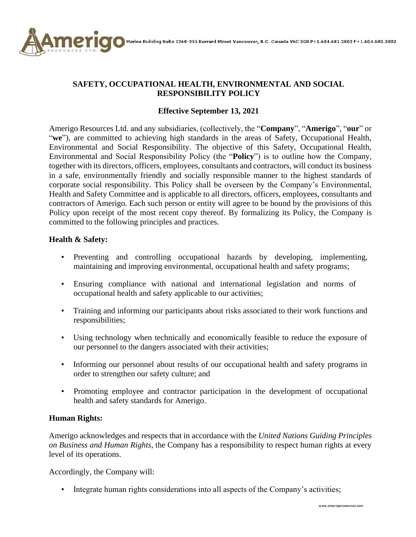

# **SAFETY, OCCUPATIONAL HEALTH, ENVIRONMENTAL AND SOCIAL RESPONSIBILITY POLICY**

## **Effective September 13, 2021**

Amerigo Resources Ltd. and any subsidiaries, (collectively, the "**Company**", "**Amerigo**", "**our**" or "we"), are committed to achieving high standards in the areas of Safety, Occupational Health, Environmental and Social Responsibility. The objective of this Safety, Occupational Health, Environmental and Social Responsibility Policy (the "**Policy**") is to outline how the Company, together with its directors, officers, employees, consultants and contractors, will conduct its business in a safe, environmentally friendly and socially responsible manner to the highest standards of corporate social responsibility. This Policy shall be overseen by the Company's Environmental, Health and Safety Committee and is applicable to all directors, officers, employees, consultants and contractors of Amerigo. Each such person or entity will agree to be bound by the provisions of this Policy upon receipt of the most recent copy thereof. By formalizing its Policy, the Company is committed to the following principles and practices.

### **Health & Safety:**

- Preventing and controlling occupational hazards by developing, implementing, maintaining and improving environmental, occupational health and safety programs;
- Ensuring compliance with national and international legislation and norms of occupational health and safety applicable to our activities;
- Training and informing our participants about risks associated to their work functions and responsibilities;
- Using technology when technically and economically feasible to reduce the exposure of our personnel to the dangers associated with their activities;
- Informing our personnel about results of our occupational health and safety programs in order to strengthen our safety culture; and
- Promoting employee and contractor participation in the development of occupational health and safety standards for Amerigo.

### **Human Rights:**

Amerigo acknowledges and respects that in accordance with the *United Nations Guiding Principles on Business and Human Rights*, the Company has a responsibility to respect human rights at every level of its operations.

Accordingly, the Company will:

• Integrate human rights considerations into all aspects of the Company's activities;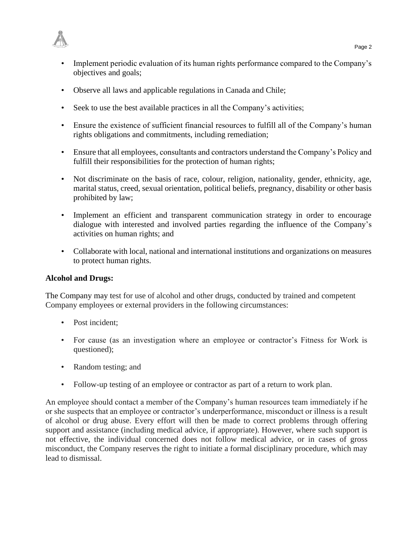

- Implement periodic evaluation of its human rights performance compared to the Company's objectives and goals;
- Observe all laws and applicable regulations in Canada and Chile;
- Seek to use the best available practices in all the Company's activities;
- Ensure the existence of sufficient financial resources to fulfill all of the Company's human rights obligations and commitments, including remediation;
- Ensure that all employees, consultants and contractors understand the Company's Policy and fulfill their responsibilities for the protection of human rights;
- Not discriminate on the basis of race, colour, religion, nationality, gender, ethnicity, age, marital status, creed, sexual orientation, political beliefs, pregnancy, disability or other basis prohibited by law;
- Implement an efficient and transparent communication strategy in order to encourage dialogue with interested and involved parties regarding the influence of the Company's activities on human rights; and
- Collaborate with local, national and international institutions and organizations on measures to protect human rights.

### **Alcohol and Drugs:**

The Company may test for use of alcohol and other drugs, conducted by trained and competent Company employees or external providers in the following circumstances:

- Post incident:
- For cause (as an investigation where an employee or contractor's Fitness for Work is questioned);
- Random testing; and
- Follow-up testing of an employee or contractor as part of a return to work plan.

An employee should contact a member of the Company's human resources team immediately if he or she suspects that an employee or contractor's underperformance, misconduct or illness is a result of alcohol or drug abuse. Every effort will then be made to correct problems through offering support and assistance (including medical advice, if appropriate). However, where such support is not effective, the individual concerned does not follow medical advice, or in cases of gross misconduct, the Company reserves the right to initiate a formal disciplinary procedure, which may lead to dismissal.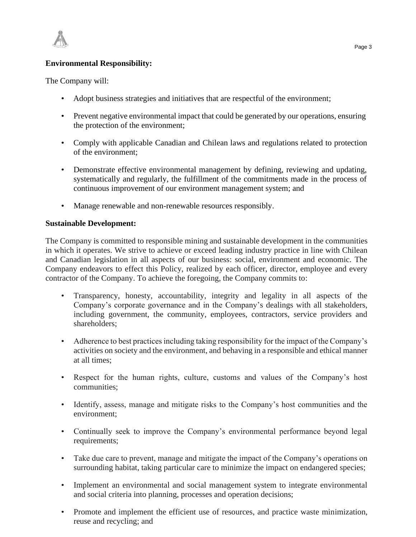

### **Environmental Responsibility:**

The Company will:

- Adopt business strategies and initiatives that are respectful of the environment;
- Prevent negative environmental impact that could be generated by our operations, ensuring the protection of the environment;
- Comply with applicable Canadian and Chilean laws and regulations related to protection of the environment;
- Demonstrate effective environmental management by defining, reviewing and updating, systematically and regularly, the fulfillment of the commitments made in the process of continuous improvement of our environment management system; and
- Manage renewable and non-renewable resources responsibly.

#### **Sustainable Development:**

The Company is committed to responsible mining and sustainable development in the communities in which it operates. We strive to achieve or exceed leading industry practice in line with Chilean and Canadian legislation in all aspects of our business: social, environment and economic. The Company endeavors to effect this Policy, realized by each officer, director, employee and every contractor of the Company. To achieve the foregoing, the Company commits to:

- Transparency, honesty, accountability, integrity and legality in all aspects of the Company's corporate governance and in the Company's dealings with all stakeholders, including government, the community, employees, contractors, service providers and shareholders;
- Adherence to best practices including taking responsibility for the impact of the Company's activities on society and the environment, and behaving in a responsible and ethical manner at all times;
- Respect for the human rights, culture, customs and values of the Company's host communities;
- Identify, assess, manage and mitigate risks to the Company's host communities and the environment;
- Continually seek to improve the Company's environmental performance beyond legal requirements;
- Take due care to prevent, manage and mitigate the impact of the Company's operations on surrounding habitat, taking particular care to minimize the impact on endangered species;
- Implement an environmental and social management system to integrate environmental and social criteria into planning, processes and operation decisions;
- Promote and implement the efficient use of resources, and practice waste minimization, reuse and recycling; and